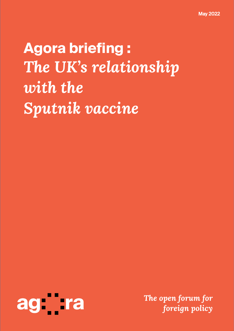**Agora briefing :** *The UK's relationship with the Sputnik vaccine*

<span id="page-0-0"></span>

*The open forum for foreign policy*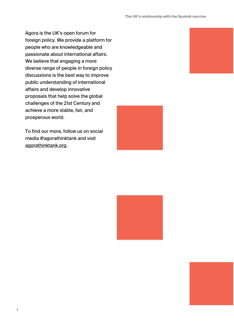Agora is the UK's open forum for foreign policy. We provide a platform for people who are knowledgeable and passionate about international affairs. We believe that engaging a more diverse range of people in foreign policy discussions is the best way to improve public understanding of international affairs and develop innovative proposals that help solve the global challenges of the 21st Century and achieve a more stable, fair, and prosperous world.

To find our more, follow us on social media @agorathinktank and visit [agorathinktank.org](https://agorathinktank.org/).





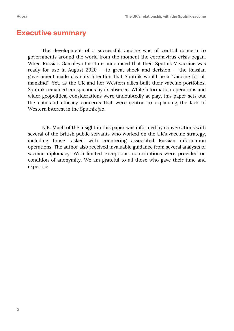### **Executive summary**

The development of a successful vaccine was of central concern to governments around the world from the moment the coronavirus crisis began. When Russia's Gamaleya Institute announced that their Sputnik V vaccine was ready for use in August  $2020 -$  to great shock and derision  $-$  the Russian government made clear its intention that Sputnik would be a "vaccine for all mankind". Yet, as the UK and her Western allies built their vaccine portfolios, Sputnik remained conspicuous by its absence. While information operations and wider geopolitical considerations were undoubtedly at play, this paper sets out the data and efficacy concerns that were central to explaining the lack of Western interest in the Sputnik jab.

N.B. Much of the insight in this paper was informed by conversations with several of the British public servants who worked on the UK's vaccine strategy, including those tasked with countering associated Russian information operations. The author also received invaluable guidance from several analysts of vaccine diplomacy. With limited exceptions, contributions were provided on condition of anonymity. We am grateful to all those who gave their time and expertise.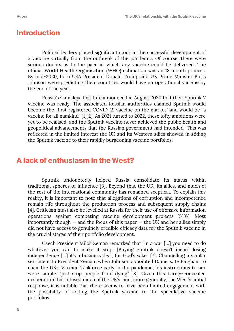#### **Introduction**

Political leaders placed significant stock in the successful development of a vaccine virtually from the outbreak of the pandemic. Of course, there were serious doubts as to the pace at which any vaccine could be delivered. The official World Health Organisation (WHO) estimation was an 18 month process. By mid-2020, both USA President Donald Trump and UK Prime Minister Boris Johnson were predicting their countries would have an operational vaccine by the end of the year.

Russia's Gamaleya Institute announced in August 2020 that their Sputnik V vaccine was ready. The associated Russian authorities claimed Sputnik would become the "first registered COVID-19 vaccine on the market" and would be "a vaccine for all mankind" [1][2]. As 2021 turned to 2022, these lofty ambitions were yet to be realised, and the Sputnik vaccine never achieved the public health and geopolitical advancements that the Russian government had intended. This was reflected in the limited interest the UK and its Western allies showed in adding the Sputnik vaccine to their rapidly burgeoning vaccine portfolios.

### **A lack of enthusiasm in the West?**

Sputnik undoubtedly helped Russia consolidate its status within traditional spheres of influence [3]. Beyond this, the UK, its allies, and much of the rest of the international community has remained sceptical. To explain this reality, it is important to note that allegations of corruption and incompetence remain rife throughout the production process and subsequent supply chains [4]. Criticism must also be levelled at Russia for their use of offensive information operations against competing vaccine development projects [5][6]. Most importantly though  $-$  and the focus of this paper  $-$  the UK and her allies simply did not have access to genuinely credible efficacy data for the Sputnik vaccine in the crucial stages of their portfolio development.

Czech President Miloš Zeman remarked that "in a war […] you need to do whatever you can to make it stop. [Buying Sputnik doesn't mean] losing independence […] it's a business deal, for God's sake" [7]. Channelling a similar sentiment to President Zeman, when Johnson appointed Dame Kate Bingham to chair the UK's Vaccine Taskforce early in the pandemic, his instructions to her were simple: "just stop people from dying" [8]. Given this barely-concealed desperation that infused much of the UK's, and, more generally, the West's, initial response, it is notable that there seems to have been limited engagement with the possibility of adding the Sputnik vaccine to the speculative vaccine portfolios.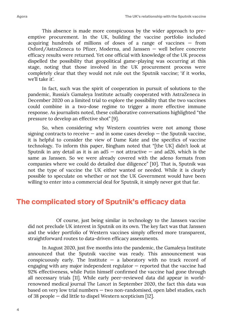This absence is made more conspicuous by the wider approach to preemptive procurement. In the UK, building the vaccine portfolio included acquiring hundreds of millions of doses of a range of vaccines — from Oxford/AstraZeneca to Pfizer, Moderna, and Janssen — well before concrete efficacy results were returned. Yet one official with knowledge of the UK process dispelled the possibility that geopolitical game-playing was occurring at this stage, noting that those involved in the UK procurement process were completely clear that they would not rule out the Sputnik vaccine; 'if it works, we'll take it'.

In fact, such was the spirit of cooperation in pursuit of solutions to the pandemic, Russia's Gamaleya Institute actually cooperated with AstraZeneca in December 2020 on a limited trial to explore the possibility that the two vaccines could combine in a two-dose regime to trigger a more effective immune response. As journalists noted, these collaborative conversations highlighted "the pressure to develop an effective shot" [9].

So, when considering why Western countries were not among those signing contracts to receive  $-$  and in some cases develop  $-$  the Sputnik vaccine, it is helpful to consider the view of Dame Kate and the specifics of vaccine technology. To inform this paper, Bingham noted that "[the UK] didn't look at Sputnik in any detail as it is an  $ad5 - not attractive - and ad26$ , which is the same as Janssen. So we were already covered with the adeno formats from companies where we could do detailed due diligence" [10]. That is, Sputnik was not the type of vaccine the UK either wanted or needed. While it is clearly possible to speculate on whether or not the UK Government would have been willing to enter into a commercial deal for Sputnik, it simply never got that far.

## **The complicated story of Sputnik's efficacy data**

Of course, just being similar in technology to the Janssen vaccine did not preclude UK interest in Sputnik on its own. The key fact was that Janssen and the wider portfolio of Western vaccines simply offered more transparent, straightforward routes to data-driven efficacy assessments.

In August 2020, just five months into the pandemic, the Gamaleya Institute announced that the Sputnik vaccine was ready. This announcement was conspicuously early. The Institute  $-$  a laboratory with no track record of engaging with any major independent regulator — reported that the vaccine had 92% effectiveness, while Putin himself confirmed the vaccine had gone through all necessary trials [11]. While early peer-reviewed data did appear in worldrenowned medical journal *The Lancet* in September 2020, the fact this data was based on very low trial numbers — two non-randomised, open label studies, each of 38 people — did little to dispel Western scepticism [12].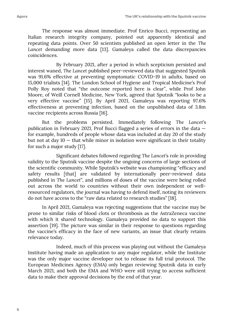The response was almost immediate. Prof Enrico Bucci, representing an Italian research integrity company, pointed out apparently identical and repeating data points. Over 50 scientists published an open letter in the *The Lancet* demanding more data [13]. Gamaleya called the data discrepancies coincidences.

By February 2021, after a period in which scepticism persisted and interest waned, *The Lancet* published peer-reviewed data that suggested Sputnik was 91.6% effective at preventing symptomatic COVID-19 in adults, based on 15,000 trialists [14]. The London School of Hygiene and Tropical Medicine's Prof Polly Roy noted that "the outcome reported here is clear", while Prof John Moore, of Weill Cornell Medicine, New York, agreed that Sputnik "looks to be a very effective vaccine" [15]. By April 2021, Gamaleya was reporting 97.6% effectiveness at preventing infection, based on the unpublished data of 3.8m vaccine recipients across Russia [16].

But the problems persisted. Immediately following *The Lancet*'s publication in February 2021, Prof Bucci flagged a series of errors in the data for example, hundreds of people whose data was included at day 20 of the study but not at day  $10$  – that while minor in isolation were significant in their totality for such a major study [17].

Significant debates followed regarding *The Lancet*'s role in providing validity to the Sputnik vaccine despite the ongoing concerns of large sections of the scientific community. While Sputnik's website was championing "efficacy and safety results [that] are validated by internationally peer-reviewed data published in *The Lancet*", and millions of doses of the vaccine were being rolled out across the world to countries without their own independent or wellresourced regulators, the journal was having to defend itself, noting its reviewers do not have access to the "raw data related to research studies" [18].

In April 2021, Gamaleya was rejecting suggestions that the vaccine may be prone to similar risks of blood clots or thrombosis as the AstraZeneca vaccine with which it shared technology. Gamaleya provided no data to support this assertion [19]. The picture was similar in their response to questions regarding the vaccine's efficacy in the face of new variants, an issue that clearly retains relevance today.

Indeed, much of this process was playing out without the Gamaleya Institute having made an application to any major regulator, while the Institute was the only major vaccine developer not to release its full trial protocol. The European Medicines Agency (EMA) only began reviewing Sputnik data in early March 2021, and both the EMA and WHO were still trying to access sufficient data to make their approval decisions by the end of that year.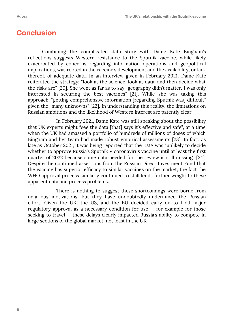## **Conclusion**

Combining the complicated data story with Dame Kate Bingham's reflections suggests Western resistance to the Sputnik vaccine, while likely exacerbated by concerns regarding information operations and geopolitical implications, was rooted in the vaccine's development and the availability, or lack thereof, of adequate data. In an interview given in February 2021, Dame Kate reiterated the strategy: "look at the science, look at data, and then decide what the risks are" [20]. She went as far as to say "geography didn't matter. I was only interested in securing the best vaccines" [21]. While she was taking this approach, "getting comprehensive information [regarding Sputnik was] difficult" given the "many unknowns" [22]. In understanding this reality, the limitations on Russian ambitions and the likelihood of Western interest are patently clear.

In February 2021, Dame Kate was still speaking about the possibility that UK experts might "see the data [that] says it's effective and safe", at a time when the UK had amassed a portfolio of hundreds of millions of doses of which Bingham and her team had made robust empirical assessments [23]. In fact, as late as October 2021, it was being reported that the EMA was "unlikely to decide whether to approve Russia's Sputnik V coronavirus vaccine until at least the first quarter of 2022 because some data needed for the review is still missing" [24]. Despite the continued assertions from the Russian Direct Investment Fund that the vaccine has superior efficacy to similar vaccines on the market, the fact the WHO approval process similarly continued to stall lends further weight to these apparent data and process problems.

There is nothing to suggest these shortcomings were borne from nefarious motivations, but they have undoubtedly undermined the Russian effort. Given the UK, the US, and the EU decided early on to hold major regulatory approval as a necessary condition for use  $-$  for example for those seeking to travel — these delays clearly impacted Russia's ability to compete in large sections of the global market, not least in the UK.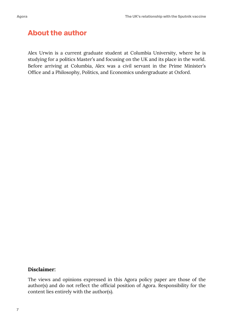# **About the author**

Alex Urwin is a current graduate student at Columbia University, where he is studying for a politics Master's and focusing on the UK and its place in the world. Before arriving at Columbia, Alex was a civil servant in the Prime Minister's Office and a Philosophy, Politics, and Economics undergraduate at Oxford.

#### **Disclaimer:**

The views and opinions expressed in this Agora policy paper are those of the author(s) and do not reflect the official position of Agora. Responsibility for the content lies entirely with the author(s).